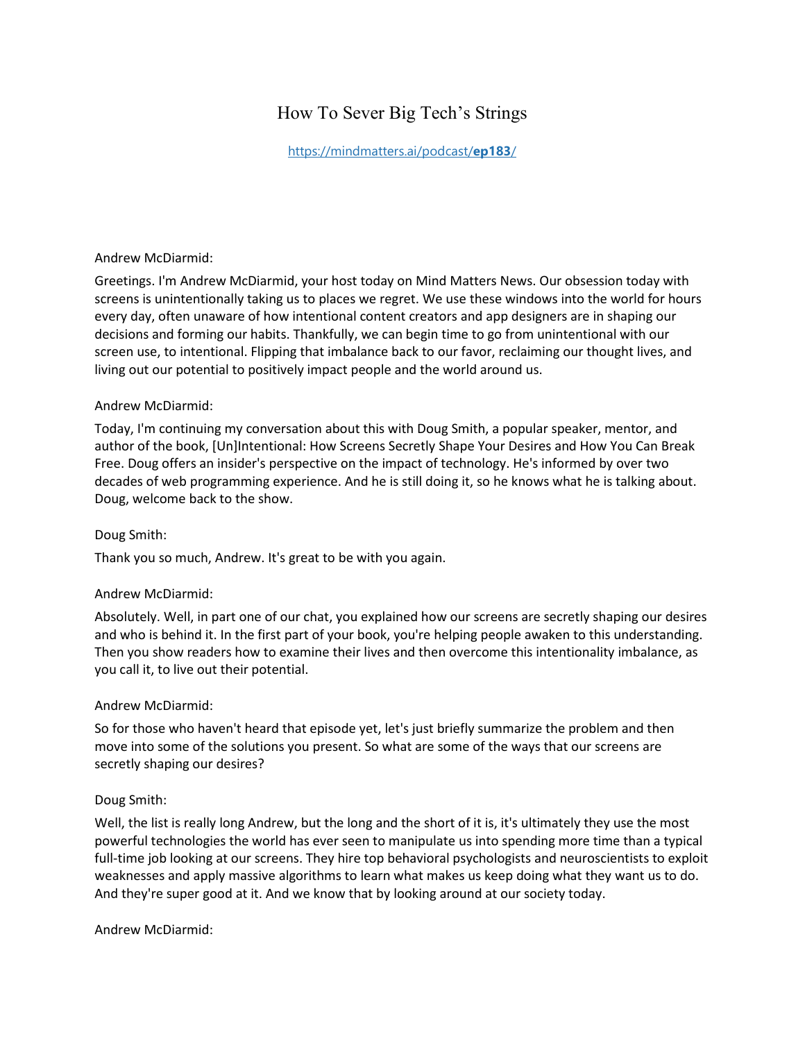# How To Sever Big Tech's Strings

[https://mindmatters.ai/podcast/](https://mindmatters.ai/podcast/ep183/)**ep183**/

#### Andrew McDiarmid:

Greetings. I'm Andrew McDiarmid, your host today on Mind Matters News. Our obsession today with screens is unintentionally taking us to places we regret. We use these windows into the world for hours every day, often unaware of how intentional content creators and app designers are in shaping our decisions and forming our habits. Thankfully, we can begin time to go from unintentional with our screen use, to intentional. Flipping that imbalance back to our favor, reclaiming our thought lives, and living out our potential to positively impact people and the world around us.

## Andrew McDiarmid:

Today, I'm continuing my conversation about this with Doug Smith, a popular speaker, mentor, and author of the book, [Un]Intentional: How Screens Secretly Shape Your Desires and How You Can Break Free. Doug offers an insider's perspective on the impact of technology. He's informed by over two decades of web programming experience. And he is still doing it, so he knows what he is talking about. Doug, welcome back to the show.

## Doug Smith:

Thank you so much, Andrew. It's great to be with you again.

## Andrew McDiarmid:

Absolutely. Well, in part one of our chat, you explained how our screens are secretly shaping our desires and who is behind it. In the first part of your book, you're helping people awaken to this understanding. Then you show readers how to examine their lives and then overcome this intentionality imbalance, as you call it, to live out their potential.

## Andrew McDiarmid:

So for those who haven't heard that episode yet, let's just briefly summarize the problem and then move into some of the solutions you present. So what are some of the ways that our screens are secretly shaping our desires?

## Doug Smith:

Well, the list is really long Andrew, but the long and the short of it is, it's ultimately they use the most powerful technologies the world has ever seen to manipulate us into spending more time than a typical full-time job looking at our screens. They hire top behavioral psychologists and neuroscientists to exploit weaknesses and apply massive algorithms to learn what makes us keep doing what they want us to do. And they're super good at it. And we know that by looking around at our society today.

## Andrew McDiarmid: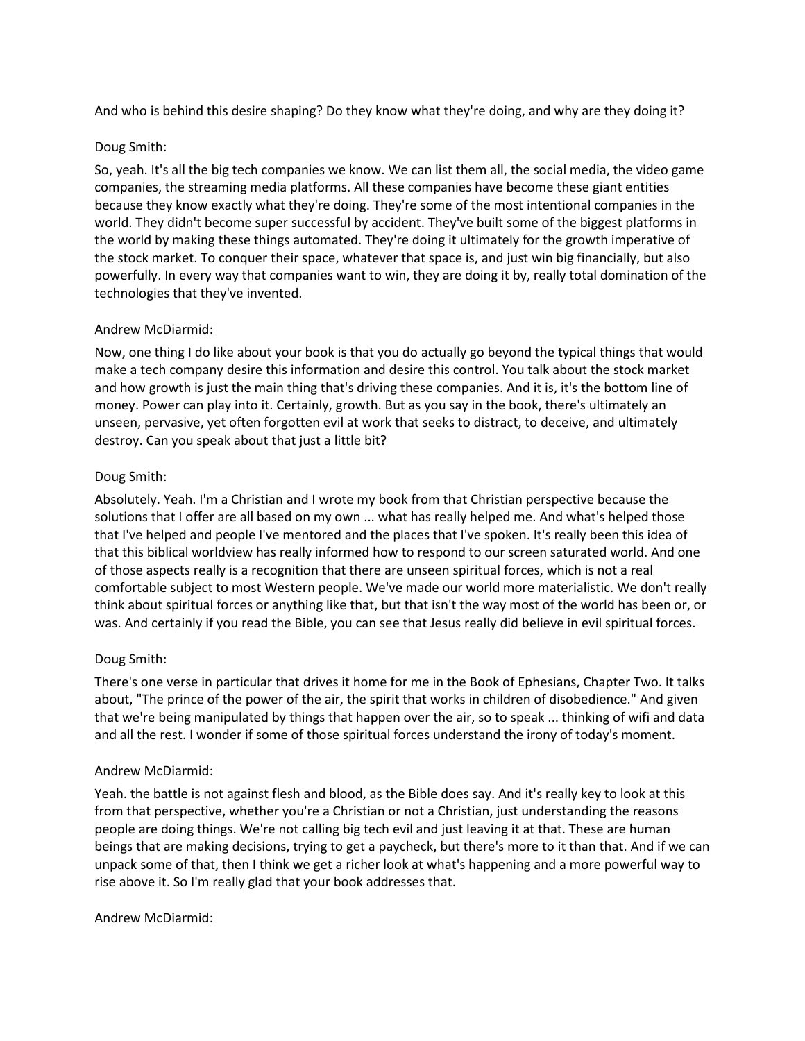And who is behind this desire shaping? Do they know what they're doing, and why are they doing it?

#### Doug Smith:

So, yeah. It's all the big tech companies we know. We can list them all, the social media, the video game companies, the streaming media platforms. All these companies have become these giant entities because they know exactly what they're doing. They're some of the most intentional companies in the world. They didn't become super successful by accident. They've built some of the biggest platforms in the world by making these things automated. They're doing it ultimately for the growth imperative of the stock market. To conquer their space, whatever that space is, and just win big financially, but also powerfully. In every way that companies want to win, they are doing it by, really total domination of the technologies that they've invented.

## Andrew McDiarmid:

Now, one thing I do like about your book is that you do actually go beyond the typical things that would make a tech company desire this information and desire this control. You talk about the stock market and how growth is just the main thing that's driving these companies. And it is, it's the bottom line of money. Power can play into it. Certainly, growth. But as you say in the book, there's ultimately an unseen, pervasive, yet often forgotten evil at work that seeks to distract, to deceive, and ultimately destroy. Can you speak about that just a little bit?

## Doug Smith:

Absolutely. Yeah. I'm a Christian and I wrote my book from that Christian perspective because the solutions that I offer are all based on my own ... what has really helped me. And what's helped those that I've helped and people I've mentored and the places that I've spoken. It's really been this idea of that this biblical worldview has really informed how to respond to our screen saturated world. And one of those aspects really is a recognition that there are unseen spiritual forces, which is not a real comfortable subject to most Western people. We've made our world more materialistic. We don't really think about spiritual forces or anything like that, but that isn't the way most of the world has been or, or was. And certainly if you read the Bible, you can see that Jesus really did believe in evil spiritual forces.

## Doug Smith:

There's one verse in particular that drives it home for me in the Book of Ephesians, Chapter Two. It talks about, "The prince of the power of the air, the spirit that works in children of disobedience." And given that we're being manipulated by things that happen over the air, so to speak ... thinking of wifi and data and all the rest. I wonder if some of those spiritual forces understand the irony of today's moment.

## Andrew McDiarmid:

Yeah. the battle is not against flesh and blood, as the Bible does say. And it's really key to look at this from that perspective, whether you're a Christian or not a Christian, just understanding the reasons people are doing things. We're not calling big tech evil and just leaving it at that. These are human beings that are making decisions, trying to get a paycheck, but there's more to it than that. And if we can unpack some of that, then I think we get a richer look at what's happening and a more powerful way to rise above it. So I'm really glad that your book addresses that.

Andrew McDiarmid: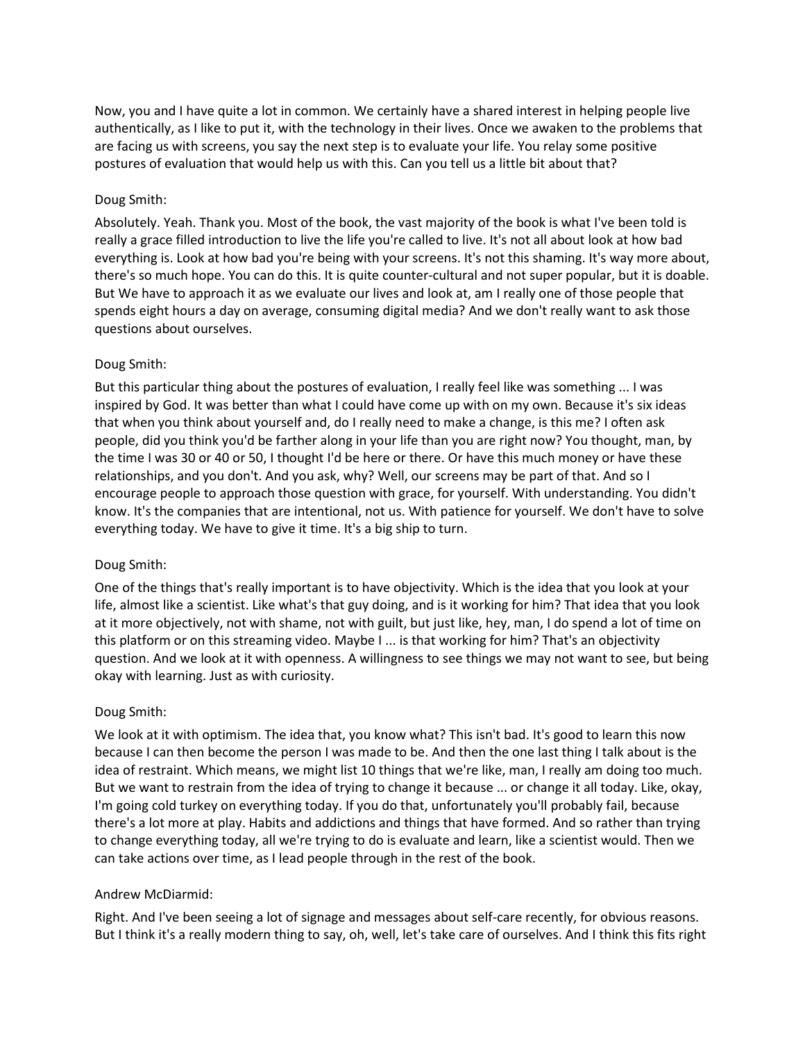Now, you and I have quite a lot in common. We certainly have a shared interest in helping people live authentically, as I like to put it, with the technology in their lives. Once we awaken to the problems that are facing us with screens, you say the next step is to evaluate your life. You relay some positive postures of evaluation that would help us with this. Can you tell us a little bit about that?

## Doug Smith:

Absolutely. Yeah. Thank you. Most of the book, the vast majority of the book is what I've been told is really a grace filled introduction to live the life you're called to live. It's not all about look at how bad everything is. Look at how bad you're being with your screens. It's not this shaming. It's way more about, there's so much hope. You can do this. It is quite counter-cultural and not super popular, but it is doable. But We have to approach it as we evaluate our lives and look at, am I really one of those people that spends eight hours a day on average, consuming digital media? And we don't really want to ask those questions about ourselves.

# Doug Smith:

But this particular thing about the postures of evaluation, I really feel like was something ... I was inspired by God. It was better than what I could have come up with on my own. Because it's six ideas that when you think about yourself and, do I really need to make a change, is this me? I often ask people, did you think you'd be farther along in your life than you are right now? You thought, man, by the time I was 30 or 40 or 50, I thought I'd be here or there. Or have this much money or have these relationships, and you don't. And you ask, why? Well, our screens may be part of that. And so I encourage people to approach those question with grace, for yourself. With understanding. You didn't know. It's the companies that are intentional, not us. With patience for yourself. We don't have to solve everything today. We have to give it time. It's a big ship to turn.

## Doug Smith:

One of the things that's really important is to have objectivity. Which is the idea that you look at your life, almost like a scientist. Like what's that guy doing, and is it working for him? That idea that you look at it more objectively, not with shame, not with guilt, but just like, hey, man, I do spend a lot of time on this platform or on this streaming video. Maybe I ... is that working for him? That's an objectivity question. And we look at it with openness. A willingness to see things we may not want to see, but being okay with learning. Just as with curiosity.

## Doug Smith:

We look at it with optimism. The idea that, you know what? This isn't bad. It's good to learn this now because I can then become the person I was made to be. And then the one last thing I talk about is the idea of restraint. Which means, we might list 10 things that we're like, man, I really am doing too much. But we want to restrain from the idea of trying to change it because ... or change it all today. Like, okay, I'm going cold turkey on everything today. If you do that, unfortunately you'll probably fail, because there's a lot more at play. Habits and addictions and things that have formed. And so rather than trying to change everything today, all we're trying to do is evaluate and learn, like a scientist would. Then we can take actions over time, as I lead people through in the rest of the book.

## Andrew McDiarmid:

Right. And I've been seeing a lot of signage and messages about self-care recently, for obvious reasons. But I think it's a really modern thing to say, oh, well, let's take care of ourselves. And I think this fits right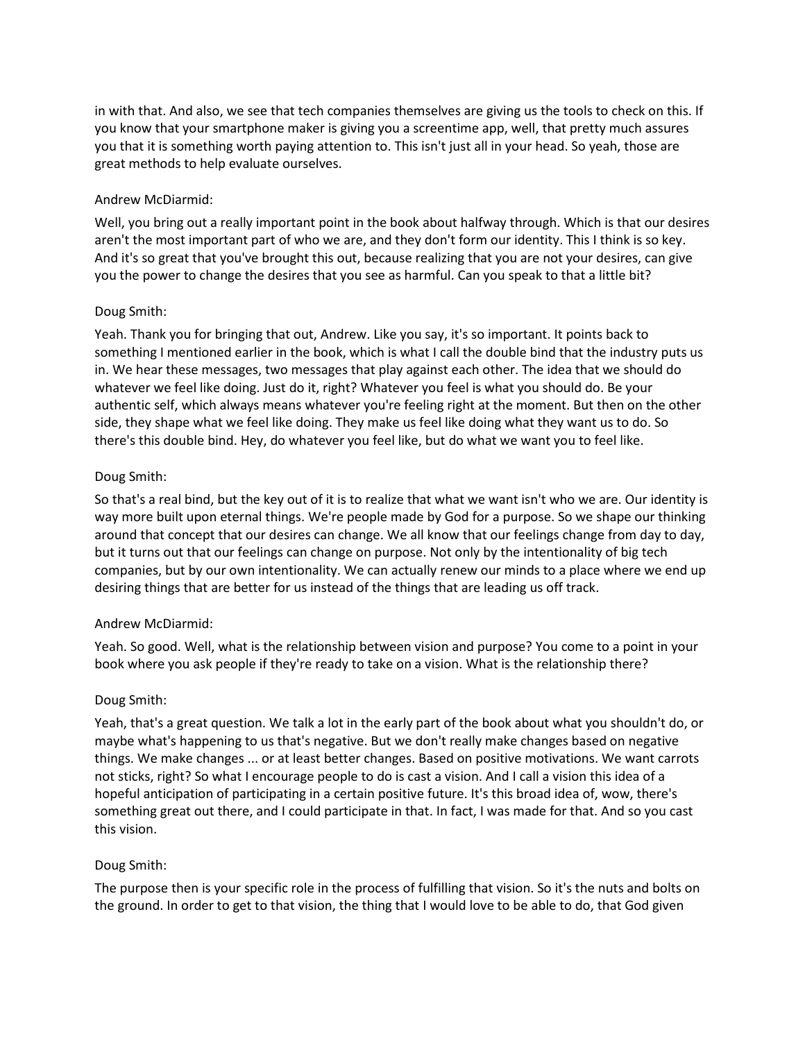in with that. And also, we see that tech companies themselves are giving us the tools to check on this. If you know that your smartphone maker is giving you a screentime app, well, that pretty much assures you that it is something worth paying attention to. This isn't just all in your head. So yeah, those are great methods to help evaluate ourselves.

# Andrew McDiarmid:

Well, you bring out a really important point in the book about halfway through. Which is that our desires aren't the most important part of who we are, and they don't form our identity. This I think is so key. And it's so great that you've brought this out, because realizing that you are not your desires, can give you the power to change the desires that you see as harmful. Can you speak to that a little bit?

# Doug Smith:

Yeah. Thank you for bringing that out, Andrew. Like you say, it's so important. It points back to something I mentioned earlier in the book, which is what I call the double bind that the industry puts us in. We hear these messages, two messages that play against each other. The idea that we should do whatever we feel like doing. Just do it, right? Whatever you feel is what you should do. Be your authentic self, which always means whatever you're feeling right at the moment. But then on the other side, they shape what we feel like doing. They make us feel like doing what they want us to do. So there's this double bind. Hey, do whatever you feel like, but do what we want you to feel like.

## Doug Smith:

So that's a real bind, but the key out of it is to realize that what we want isn't who we are. Our identity is way more built upon eternal things. We're people made by God for a purpose. So we shape our thinking around that concept that our desires can change. We all know that our feelings change from day to day, but it turns out that our feelings can change on purpose. Not only by the intentionality of big tech companies, but by our own intentionality. We can actually renew our minds to a place where we end up desiring things that are better for us instead of the things that are leading us off track.

## Andrew McDiarmid:

Yeah. So good. Well, what is the relationship between vision and purpose? You come to a point in your book where you ask people if they're ready to take on a vision. What is the relationship there?

## Doug Smith:

Yeah, that's a great question. We talk a lot in the early part of the book about what you shouldn't do, or maybe what's happening to us that's negative. But we don't really make changes based on negative things. We make changes ... or at least better changes. Based on positive motivations. We want carrots not sticks, right? So what I encourage people to do is cast a vision. And I call a vision this idea of a hopeful anticipation of participating in a certain positive future. It's this broad idea of, wow, there's something great out there, and I could participate in that. In fact, I was made for that. And so you cast this vision.

## Doug Smith:

The purpose then is your specific role in the process of fulfilling that vision. So it's the nuts and bolts on the ground. In order to get to that vision, the thing that I would love to be able to do, that God given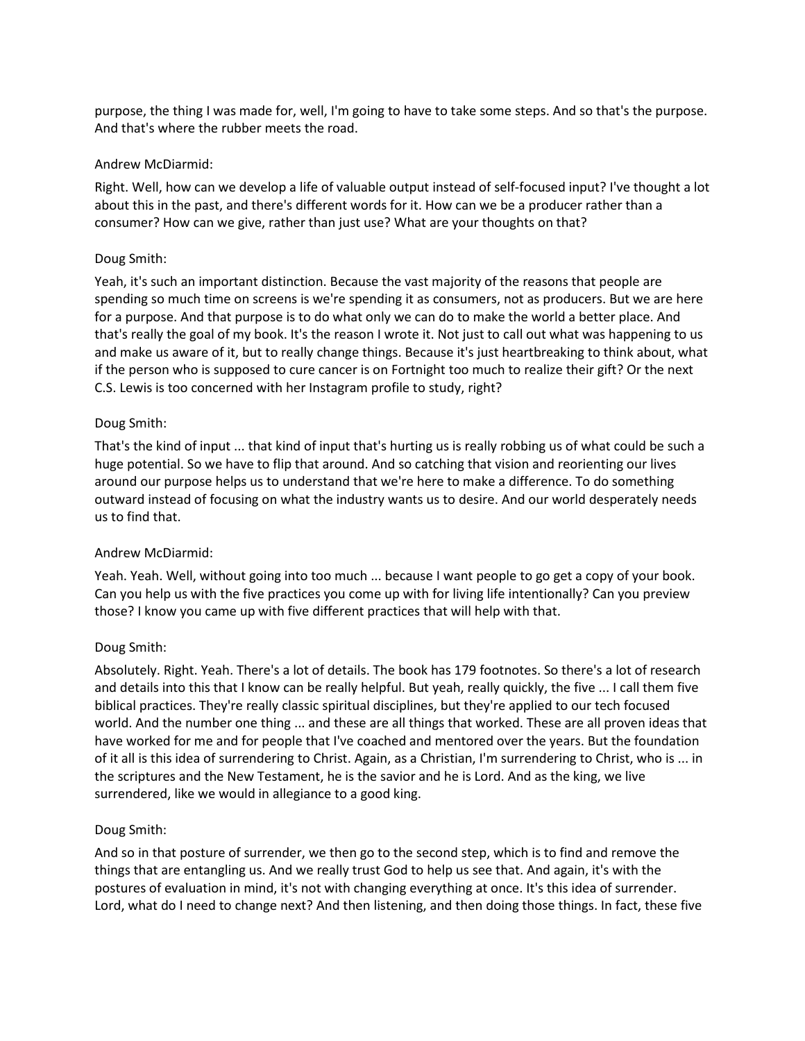purpose, the thing I was made for, well, I'm going to have to take some steps. And so that's the purpose. And that's where the rubber meets the road.

## Andrew McDiarmid:

Right. Well, how can we develop a life of valuable output instead of self-focused input? I've thought a lot about this in the past, and there's different words for it. How can we be a producer rather than a consumer? How can we give, rather than just use? What are your thoughts on that?

# Doug Smith:

Yeah, it's such an important distinction. Because the vast majority of the reasons that people are spending so much time on screens is we're spending it as consumers, not as producers. But we are here for a purpose. And that purpose is to do what only we can do to make the world a better place. And that's really the goal of my book. It's the reason I wrote it. Not just to call out what was happening to us and make us aware of it, but to really change things. Because it's just heartbreaking to think about, what if the person who is supposed to cure cancer is on Fortnight too much to realize their gift? Or the next C.S. Lewis is too concerned with her Instagram profile to study, right?

# Doug Smith:

That's the kind of input ... that kind of input that's hurting us is really robbing us of what could be such a huge potential. So we have to flip that around. And so catching that vision and reorienting our lives around our purpose helps us to understand that we're here to make a difference. To do something outward instead of focusing on what the industry wants us to desire. And our world desperately needs us to find that.

# Andrew McDiarmid:

Yeah. Yeah. Well, without going into too much ... because I want people to go get a copy of your book. Can you help us with the five practices you come up with for living life intentionally? Can you preview those? I know you came up with five different practices that will help with that.

## Doug Smith:

Absolutely. Right. Yeah. There's a lot of details. The book has 179 footnotes. So there's a lot of research and details into this that I know can be really helpful. But yeah, really quickly, the five ... I call them five biblical practices. They're really classic spiritual disciplines, but they're applied to our tech focused world. And the number one thing ... and these are all things that worked. These are all proven ideas that have worked for me and for people that I've coached and mentored over the years. But the foundation of it all is this idea of surrendering to Christ. Again, as a Christian, I'm surrendering to Christ, who is ... in the scriptures and the New Testament, he is the savior and he is Lord. And as the king, we live surrendered, like we would in allegiance to a good king.

## Doug Smith:

And so in that posture of surrender, we then go to the second step, which is to find and remove the things that are entangling us. And we really trust God to help us see that. And again, it's with the postures of evaluation in mind, it's not with changing everything at once. It's this idea of surrender. Lord, what do I need to change next? And then listening, and then doing those things. In fact, these five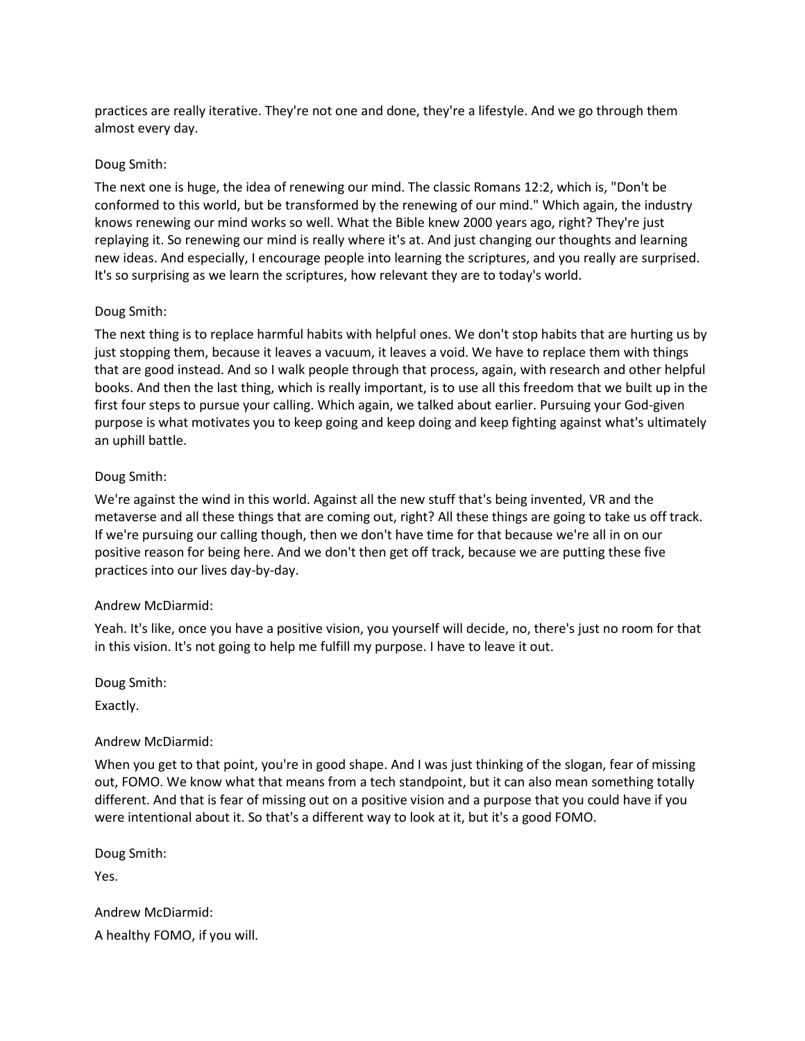practices are really iterative. They're not one and done, they're a lifestyle. And we go through them almost every day.

## Doug Smith:

The next one is huge, the idea of renewing our mind. The classic Romans 12:2, which is, "Don't be conformed to this world, but be transformed by the renewing of our mind." Which again, the industry knows renewing our mind works so well. What the Bible knew 2000 years ago, right? They're just replaying it. So renewing our mind is really where it's at. And just changing our thoughts and learning new ideas. And especially, I encourage people into learning the scriptures, and you really are surprised. It's so surprising as we learn the scriptures, how relevant they are to today's world.

#### Doug Smith:

The next thing is to replace harmful habits with helpful ones. We don't stop habits that are hurting us by just stopping them, because it leaves a vacuum, it leaves a void. We have to replace them with things that are good instead. And so I walk people through that process, again, with research and other helpful books. And then the last thing, which is really important, is to use all this freedom that we built up in the first four steps to pursue your calling. Which again, we talked about earlier. Pursuing your God-given purpose is what motivates you to keep going and keep doing and keep fighting against what's ultimately an uphill battle.

#### Doug Smith:

We're against the wind in this world. Against all the new stuff that's being invented, VR and the metaverse and all these things that are coming out, right? All these things are going to take us off track. If we're pursuing our calling though, then we don't have time for that because we're all in on our positive reason for being here. And we don't then get off track, because we are putting these five practices into our lives day-by-day.

#### Andrew McDiarmid:

Yeah. It's like, once you have a positive vision, you yourself will decide, no, there's just no room for that in this vision. It's not going to help me fulfill my purpose. I have to leave it out.

Doug Smith:

Exactly.

## Andrew McDiarmid:

When you get to that point, you're in good shape. And I was just thinking of the slogan, fear of missing out, FOMO. We know what that means from a tech standpoint, but it can also mean something totally different. And that is fear of missing out on a positive vision and a purpose that you could have if you were intentional about it. So that's a different way to look at it, but it's a good FOMO.

Doug Smith:

Yes.

Andrew McDiarmid: A healthy FOMO, if you will.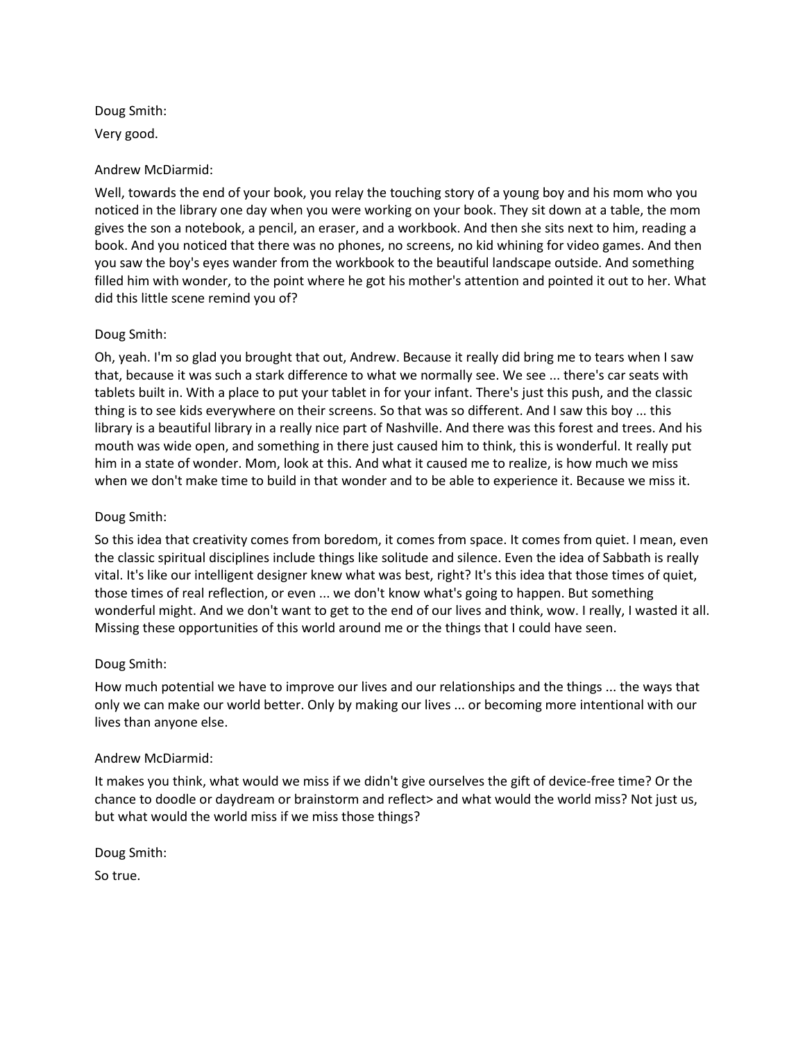Doug Smith: Very good.

## Andrew McDiarmid:

Well, towards the end of your book, you relay the touching story of a young boy and his mom who you noticed in the library one day when you were working on your book. They sit down at a table, the mom gives the son a notebook, a pencil, an eraser, and a workbook. And then she sits next to him, reading a book. And you noticed that there was no phones, no screens, no kid whining for video games. And then you saw the boy's eyes wander from the workbook to the beautiful landscape outside. And something filled him with wonder, to the point where he got his mother's attention and pointed it out to her. What did this little scene remind you of?

## Doug Smith:

Oh, yeah. I'm so glad you brought that out, Andrew. Because it really did bring me to tears when I saw that, because it was such a stark difference to what we normally see. We see ... there's car seats with tablets built in. With a place to put your tablet in for your infant. There's just this push, and the classic thing is to see kids everywhere on their screens. So that was so different. And I saw this boy ... this library is a beautiful library in a really nice part of Nashville. And there was this forest and trees. And his mouth was wide open, and something in there just caused him to think, this is wonderful. It really put him in a state of wonder. Mom, look at this. And what it caused me to realize, is how much we miss when we don't make time to build in that wonder and to be able to experience it. Because we miss it.

# Doug Smith:

So this idea that creativity comes from boredom, it comes from space. It comes from quiet. I mean, even the classic spiritual disciplines include things like solitude and silence. Even the idea of Sabbath is really vital. It's like our intelligent designer knew what was best, right? It's this idea that those times of quiet, those times of real reflection, or even ... we don't know what's going to happen. But something wonderful might. And we don't want to get to the end of our lives and think, wow. I really, I wasted it all. Missing these opportunities of this world around me or the things that I could have seen.

# Doug Smith:

How much potential we have to improve our lives and our relationships and the things ... the ways that only we can make our world better. Only by making our lives ... or becoming more intentional with our lives than anyone else.

## Andrew McDiarmid:

It makes you think, what would we miss if we didn't give ourselves the gift of device-free time? Or the chance to doodle or daydream or brainstorm and reflect> and what would the world miss? Not just us, but what would the world miss if we miss those things?

Doug Smith:

So true.